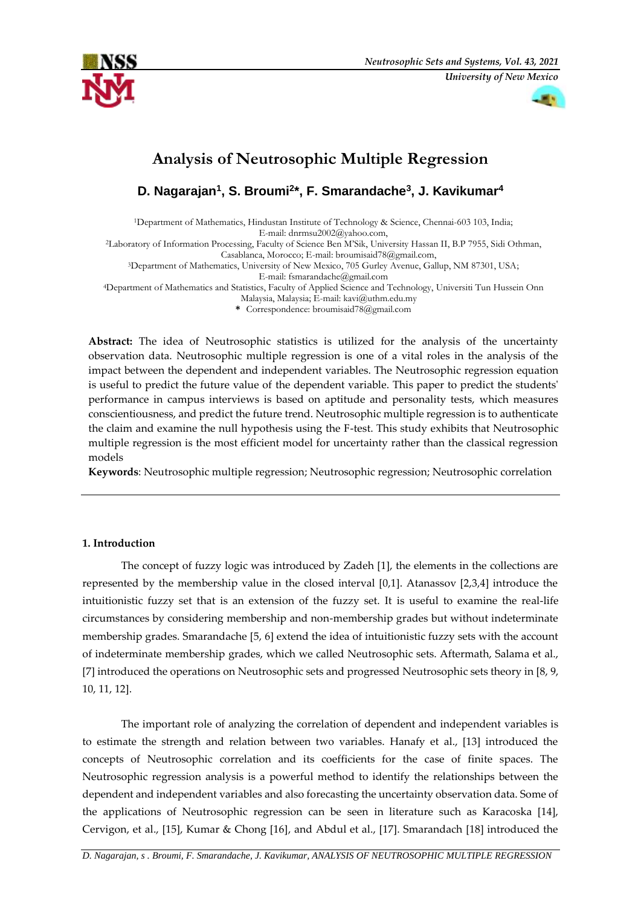



# **Analysis of Neutrosophic Multiple Regression**

**D. Nagarajan<sup>1</sup> , S. Broumi<sup>2</sup> \*, F. Smarandache<sup>3</sup> , J. Kavikumar<sup>4</sup>**

<sup>1</sup>Department of Mathematics, Hindustan Institute of Technology & Science, Chennai-603 103, India; E-mail: dnrmsu2002@yahoo.com,

<sup>2</sup>Laboratory of Information Processing, Faculty of Science Ben M'Sik, University Hassan II, B.P 7955, Sidi Othman,

Casablanca, Morocco; E-mail: broumisaid78@gmail.com,

<sup>3</sup>Department of Mathematics, University of New Mexico, 705 Gurley Avenue, Gallup, NM 87301, USA;

E-mail: fsmarandache@gmail.com

<sup>4</sup>Department of Mathematics and Statistics, Faculty of Applied Science and Technology, Universiti Tun Hussein Onn Malaysia, Malaysia; E-mail: kavi@uthm.edu.my

**\*** Correspondence: broumisaid78@gmail.com

**Abstract:** The idea of Neutrosophic statistics is utilized for the analysis of the uncertainty observation data. Neutrosophic multiple regression is one of a vital roles in the analysis of the impact between the dependent and independent variables. The Neutrosophic regression equation is useful to predict the future value of the dependent variable. This paper to predict the students' performance in campus interviews is based on aptitude and personality tests, which measures conscientiousness, and predict the future trend. Neutrosophic multiple regression is to authenticate the claim and examine the null hypothesis using the F-test. This study exhibits that Neutrosophic multiple regression is the most efficient model for uncertainty rather than the classical regression models

**Keywords**: Neutrosophic multiple regression; Neutrosophic regression; Neutrosophic correlation

# **1. Introduction**

The concept of fuzzy logic was introduced by Zadeh [1], the elements in the collections are represented by the membership value in the closed interval [0,1]. Atanassov [2,3,4] introduce the intuitionistic fuzzy set that is an extension of the fuzzy set. It is useful to examine the real-life circumstances by considering membership and non-membership grades but without indeterminate membership grades. Smarandache [5, 6] extend the idea of intuitionistic fuzzy sets with the account of indeterminate membership grades, which we called Neutrosophic sets. Aftermath, Salama et al., [7] introduced the operations on Neutrosophic sets and progressed Neutrosophic sets theory in [8, 9, 10, 11, 12].

The important role of analyzing the correlation of dependent and independent variables is to estimate the strength and relation between two variables. Hanafy et al., [13] introduced the concepts of Neutrosophic correlation and its coefficients for the case of finite spaces. The Neutrosophic regression analysis is a powerful method to identify the relationships between the dependent and independent variables and also forecasting the uncertainty observation data. Some of the applications of Neutrosophic regression can be seen in literature such as Karacoska [14], Cervigon, et al., [15], Kumar & Chong [16], and Abdul et al., [17]. Smarandach [18] introduced the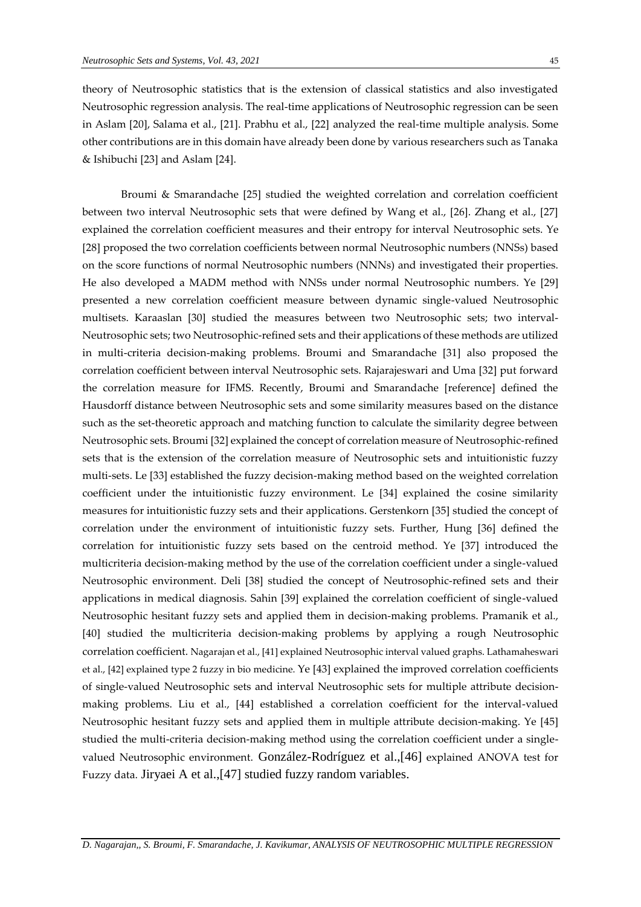theory of Neutrosophic statistics that is the extension of classical statistics and also investigated Neutrosophic regression analysis. The real-time applications of Neutrosophic regression can be seen in Aslam [20], Salama et al., [21]. Prabhu et al., [22] analyzed the real-time multiple analysis. Some other contributions are in this domain have already been done by various researchers such as Tanaka & Ishibuchi [23] and Aslam [24].

Broumi & Smarandache [25] studied the weighted correlation and correlation coefficient between two interval Neutrosophic sets that were defined by Wang et al., [26]. Zhang et al., [27] explained the correlation coefficient measures and their entropy for interval Neutrosophic sets. Ye [28] proposed the two correlation coefficients between normal Neutrosophic numbers (NNSs) based on the score functions of normal Neutrosophic numbers (NNNs) and investigated their properties. He also developed a MADM method with NNSs under normal Neutrosophic numbers. Ye [29] presented a new correlation coefficient measure between dynamic single-valued Neutrosophic multisets. Karaaslan [30] studied the measures between two Neutrosophic sets; two interval-Neutrosophic sets; two Neutrosophic-refined sets and their applications of these methods are utilized in multi-criteria decision-making problems. Broumi and Smarandache [31] also proposed the correlation coefficient between interval Neutrosophic sets. Rajarajeswari and Uma [32] put forward the correlation measure for IFMS. Recently, Broumi and Smarandache [reference] defined the Hausdorff distance between Neutrosophic sets and some similarity measures based on the distance such as the set-theoretic approach and matching function to calculate the similarity degree between Neutrosophic sets. Broumi [32] explained the concept of correlation measure of Neutrosophic-refined sets that is the extension of the correlation measure of Neutrosophic sets and intuitionistic fuzzy multi-sets. Le [33] established the fuzzy decision-making method based on the weighted correlation coefficient under the intuitionistic fuzzy environment. Le [34] explained the cosine similarity measures for intuitionistic fuzzy sets and their applications. Gerstenkorn [35] studied the concept of correlation under the environment of intuitionistic fuzzy sets. Further, Hung [36] defined the correlation for intuitionistic fuzzy sets based on the centroid method. Ye [37] introduced the multicriteria decision-making method by the use of the correlation coefficient under a single-valued Neutrosophic environment. Deli [38] studied the concept of Neutrosophic-refined sets and their applications in medical diagnosis. Sahin [39] explained the correlation coefficient of single-valued Neutrosophic hesitant fuzzy sets and applied them in decision-making problems. Pramanik et al., [40] studied the multicriteria decision-making problems by applying a rough Neutrosophic correlation coefficient. Nagarajan et al., [41] explained Neutrosophic interval valued graphs. Lathamaheswari et al., [42] explained type 2 fuzzy in bio medicine. Ye [43] explained the improved correlation coefficients of single-valued Neutrosophic sets and interval Neutrosophic sets for multiple attribute decisionmaking problems. Liu et al., [44] established a correlation coefficient for the interval-valued Neutrosophic hesitant fuzzy sets and applied them in multiple attribute decision-making. Ye [45] studied the multi-criteria decision-making method using the correlation coefficient under a singlevalued Neutrosophic environment. González-Rodríguez et al.,[46] explained ANOVA test for Fuzzy data. Jiryaei A et al.,[47] studied fuzzy random variables.

*D. Nagarajan,, S. Broumi, F. Smarandache, J. Kavikumar, ANALYSIS OF NEUTROSOPHIC MULTIPLE REGRESSION*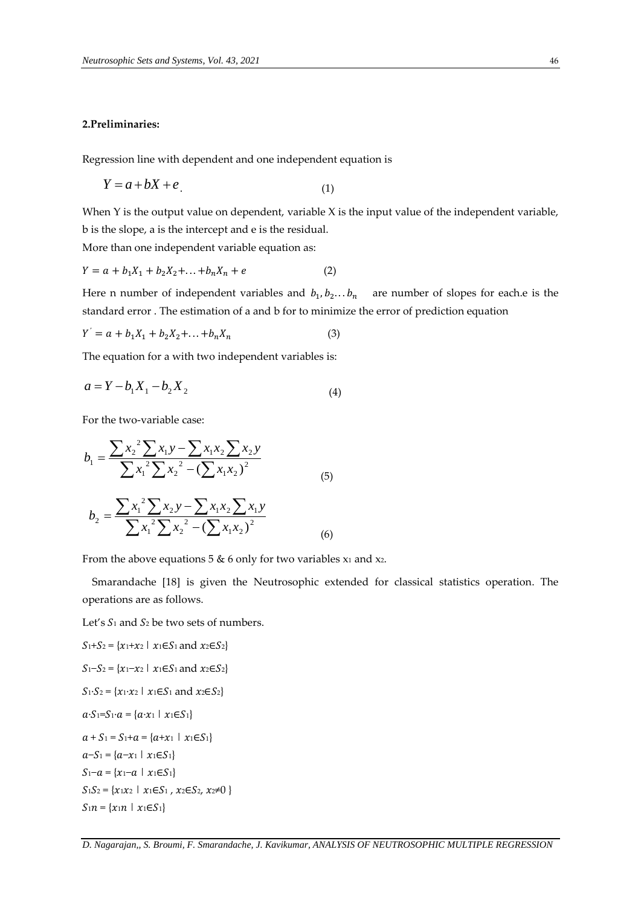## **2.Preliminaries:**

Regression line with dependent and one independent equation is

$$
Y = a + bX + e
$$
\n<sup>(1)</sup>

When Y is the output value on dependent, variable X is the input value of the independent variable, b is the slope, a is the intercept and e is the residual.

More than one independent variable equation as:

$$
Y = a + b_1 X_1 + b_2 X_2 + \dots + b_n X_n + e \tag{2}
$$

Here n number of independent variables and  $b_1, b_2...b_n$  are number of slopes for each.e is the standard error . The estimation of a and b for to minimize the error of prediction equation

$$
Y^{'} = a + b_1 X_1 + b_2 X_2 + \dots + b_n X_n \tag{3}
$$

The equation for a with two independent variables is:

$$
a = Y - b_1 X_1 - b_2 X_2 \tag{4}
$$

For the two-variable case:

$$
b_1 = \frac{\sum x_2^2 \sum x_1 y - \sum x_1 x_2 \sum x_2 y}{\sum x_1^2 \sum x_2^2 - (\sum x_1 x_2)^2}
$$
  
\n
$$
b_2 = \frac{\sum x_1^2 \sum x_2 y - \sum x_1 x_2 \sum x_1 y}{\sum x_1^2 \sum x_2^2 - (\sum x_1 x_2)^2}
$$
  
\n(6)

From the above equations 5  $\&$  6 only for two variables  $x_1$  and  $x_2$ .

 $1^{\lambda}2$ 

Smarandache [18] is given the Neutrosophic extended for classical statistics operation. The operations are as follows.

(6)

Let's  $S_1$  and  $S_2$  be two sets of numbers.

2

$$
S_1+S_2 = \{x_1+x_2 \mid x_1 \in S_1 \text{ and } x_2 \in S_2\}
$$
  
\n
$$
S_1-S_2 = \{x_1-x_2 \mid x_1 \in S_1 \text{ and } x_2 \in S_2\}
$$
  
\n
$$
S_1 \cdot S_2 = \{x_1 \cdot x_2 \mid x_1 \in S_1 \text{ and } x_2 \in S_2\}
$$
  
\n
$$
a \cdot S_1=S_1 \cdot a = \{a \cdot x_1 \mid x_1 \in S_1\}
$$
  
\n
$$
a+S_1 = S_1+a = \{a+x_1 \mid x_1 \in S_1\}
$$
  
\n
$$
S_1-S_1 = \{a-x_1 \mid x_1 \in S_1\}
$$
  
\n
$$
S_1S_2 = \{x_1x_2 \mid x_1 \in S_1, x_2 \in S_2, x_2 \neq 0\}
$$
  
\n
$$
S_1n = \{x_1n \mid x_1 \in S_1\}
$$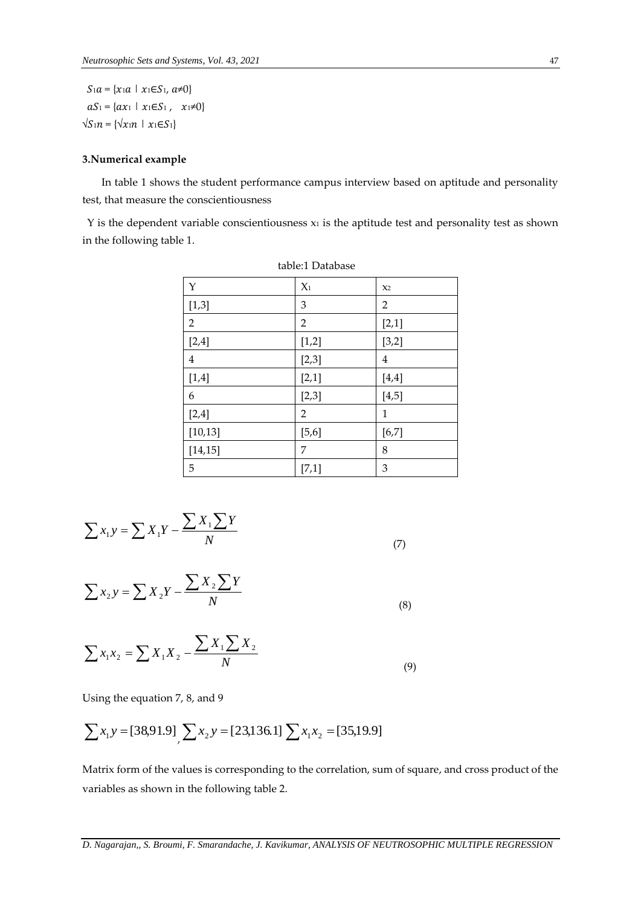$S_1 a = \{x_1 a \mid x_1 \in S_1, a\neq 0\}$  $aS_1 = \{ax_1 | x_1 \in S_1, x_1 \neq 0\}$  $\sqrt{S_1 n} = {\sqrt{x_1 n} \mid x_1 \in S_1}$ 

## **3.Numerical example**

 In table 1 shows the student performance campus interview based on aptitude and personality test, that measure the conscientiousness

 $Y$  is the dependent variable conscientiousness  $x_1$  is the aptitude test and personality test as shown in the following table 1.

| $\mathbf Y$    | $X_1$          | X <sub>2</sub> |
|----------------|----------------|----------------|
| [1,3]          | 3              | $\overline{2}$ |
| $\overline{2}$ | 2              | [2,1]          |
| [2,4]          | [1,2]          | [3,2]          |
| $\bf 4$        | [2,3]          | 4              |
| [1,4]          | [2,1]          | [4,4]          |
| 6              | [2,3]          | [4, 5]         |
| [2,4]          | $\overline{2}$ | 1              |
| [10, 13]       | [5, 6]         | [6, 7]         |
| [14, 15]       | 7              | 8              |
| 5              | [7,1]          | 3              |

table:1 Database

$$
\sum x_1 y = \sum X_1 Y - \frac{\sum X_1 \sum Y}{N}
$$

(7)

$$
\sum x_2 y = \sum X_2 Y - \frac{\sum X_2 \sum Y}{N}
$$
\n(8)

$$
\sum x_1 x_2 = \sum X_1 X_2 - \frac{\sum X_1 \sum X_2}{N}
$$
\n(9)

Using the equation 7, 8, and 9

$$
\sum x_1 y = [38,91.9] \sum x_2 y = [23,136.1] \sum x_1 x_2 = [35,19.9]
$$

Matrix form of the values is corresponding to the correlation, sum of square, and cross product of the variables as shown in the following table 2.

*D. Nagarajan,, S. Broumi, F. Smarandache, J. Kavikumar, ANALYSIS OF NEUTROSOPHIC MULTIPLE REGRESSION*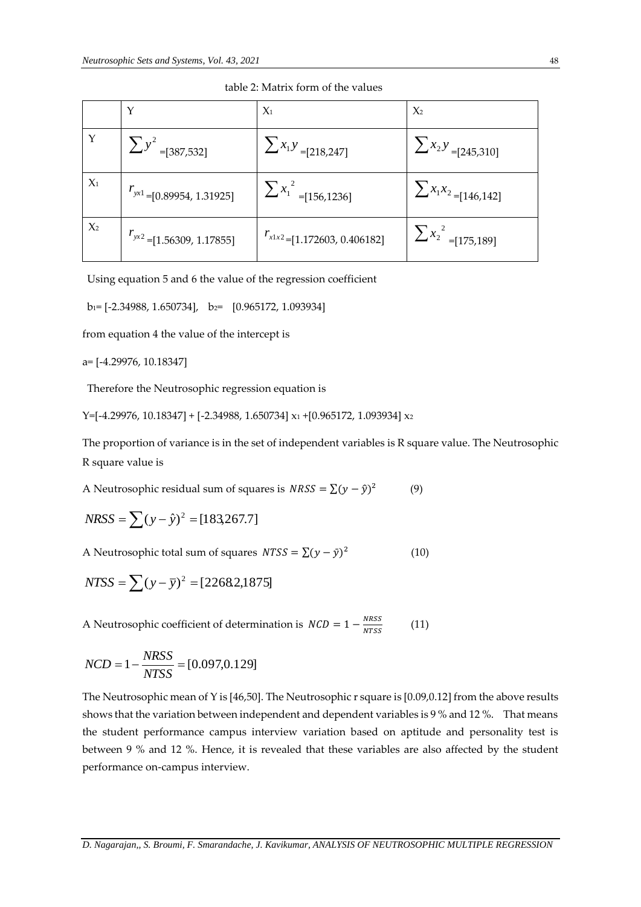|       |                                      | $X_1$                            | $X_2$                       |
|-------|--------------------------------------|----------------------------------|-----------------------------|
|       | $\sum y^2 = [387,532]$               | $\sum x_1 y = [218, 247]$        | $\sum x_2 y = [245, 310]$   |
| $X_1$ | $r_{\text{y}x1}$ =[0.89954, 1.31925] | $\sum x_1^2 = [156, 1236]$       | $\sum x_1 x_2 = [146, 142]$ |
| $X_2$ | $T_{yx^2}$ = [1.56309, 1.17855]      | $T_{x1x2}$ =[1.172603, 0.406182] | $\sum x_2^2 = [175, 189]$   |

table 2: Matrix form of the values

Using equation 5 and 6 the value of the regression coefficient

 $b_1=[-2.34988, 1.650734], b_2=[0.965172, 1.093934]$ 

from equation 4 the value of the intercept is

a= [-4.29976, 10.18347]

Therefore the Neutrosophic regression equation is

Y=[-4.29976, 10.18347] + [-2.34988, 1.650734] x<sup>1</sup> +[0.965172, 1.093934] x<sup>2</sup>

The proportion of variance is in the set of independent variables is R square value. The Neutrosophic R square value is

A Neutrosophic residual sum of squares is  $NRSS = \sum (y - \hat{y})^2$ (9)

$$
NRSS = \sum (y - \hat{y})^2 = [183,267.7]
$$

A Neutrosophic total sum of squares  $NTSS = \sum (y - \bar{y})^2$ (10)

$$
NTSS = \sum (y - \bar{y})^2 = [2268.2, 1875]
$$

A Neutrosophic coefficient of determination is  $NCD = 1 - \frac{NRSS}{NTSC}$ **NTSS** (11)

$$
NCD = 1 - \frac{NRSS}{NTSS} = [0.097, 0.129]
$$

The Neutrosophic mean of Y is [46,50]. The Neutrosophic r square is [0.09,0.12] from the above results shows that the variation between independent and dependent variables is 9 % and 12 %. That means the student performance campus interview variation based on aptitude and personality test is between 9 % and 12 %. Hence, it is revealed that these variables are also affected by the student performance on-campus interview.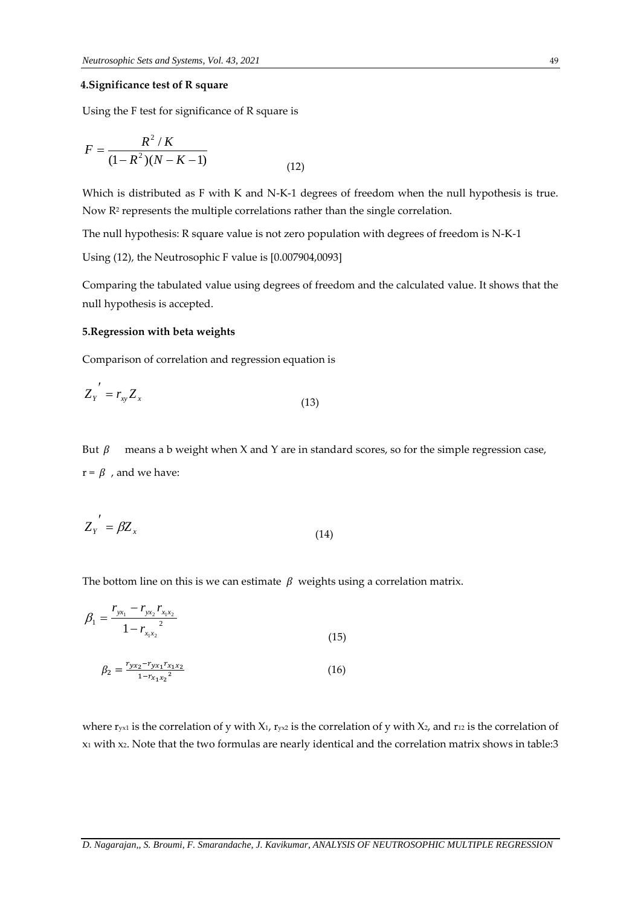#### **4.Significance test of R square**

Using the F test for significance of R square is

$$
F = \frac{R^2/K}{(1 - R^2)(N - K - 1)}
$$
\n(12)

Which is distributed as F with K and N-K-1 degrees of freedom when the null hypothesis is true. Now R<sup>2</sup> represents the multiple correlations rather than the single correlation.

The null hypothesis: R square value is not zero population with degrees of freedom is N-K-1

Using (12), the Neutrosophic F value is [0.007904,0093]

Comparing the tabulated value using degrees of freedom and the calculated value. It shows that the null hypothesis is accepted.

#### **5.Regression with beta weights**

Comparison of correlation and regression equation is

$$
Z_{Y}^{\prime} = r_{xy} Z_{x}
$$
 (13)

But  $\beta$  means a b weight when X and Y are in standard scores, so for the simple regression case,  $r = \beta$ , and we have:

$$
Z_{Y}^{\prime} = \beta Z_{x}
$$
 (14)

The bottom line on this is we can estimate  $\beta$  weights using a correlation matrix.

$$
\beta_1 = \frac{r_{yx_1} - r_{yx_2}r_{x_1x_2}}{1 - r_{x_1x_2}^2}
$$
\n
$$
\beta_2 = \frac{r_{yx_2} - r_{yx_1}r_{x_1x_2}}{1 - r_{x_1x_2}^2}
$$
\n(15)

where  $r_{yx1}$  is the correlation of y with X<sub>1</sub>,  $r_{yx2}$  is the correlation of y with X<sub>2</sub>, and r<sub>12</sub> is the correlation of x<sup>1</sup> with x2. Note that the two formulas are nearly identical and the correlation matrix shows in table:3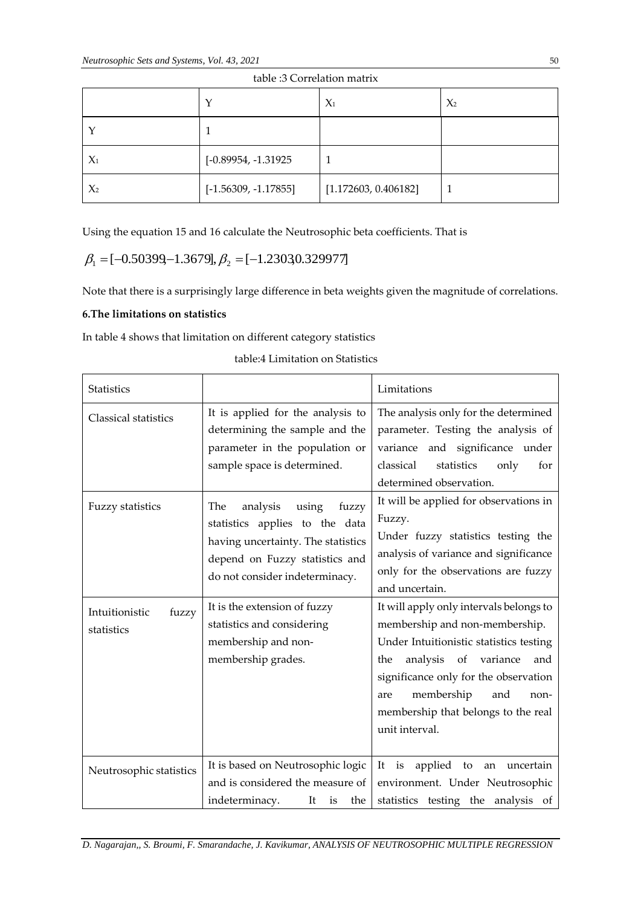|       | $\check{ }$            | $X_1$                | $X_2$ |
|-------|------------------------|----------------------|-------|
|       |                        |                      |       |
| $X_1$ | [-0.89954, -1.31925]   |                      |       |
| $X_2$ | $[-1.56309, -1.17855]$ | [1.172603, 0.406182] |       |

|  |  | table :3 Correlation matrix |
|--|--|-----------------------------|
|  |  |                             |

Using the equation 15 and 16 calculate the Neutrosophic beta coefficients. That is

$$
\beta_1 = [-0.50399, -1.3679], \beta_2 = [-1.2303, 0.329977]
$$

Note that there is a surprisingly large difference in beta weights given the magnitude of correlations.

# **6.The limitations on statistics**

In table 4 shows that limitation on different category statistics

| <b>Statistics</b>                                                |                                                                                                                                                                                                                                                                                          | Limitations                                                                                                                                                                                                                                                                                                                                                                                                                                                                                     |
|------------------------------------------------------------------|------------------------------------------------------------------------------------------------------------------------------------------------------------------------------------------------------------------------------------------------------------------------------------------|-------------------------------------------------------------------------------------------------------------------------------------------------------------------------------------------------------------------------------------------------------------------------------------------------------------------------------------------------------------------------------------------------------------------------------------------------------------------------------------------------|
| Classical statistics                                             | It is applied for the analysis to<br>determining the sample and the<br>parameter in the population or<br>sample space is determined.                                                                                                                                                     | The analysis only for the determined<br>parameter. Testing the analysis of<br>variance and significance under<br>classical<br>statistics<br>only<br>for<br>determined observation.                                                                                                                                                                                                                                                                                                              |
| <b>Fuzzy statistics</b><br>Intuitionistic<br>fuzzy<br>statistics | analysis<br>The<br>using<br>fuzzy<br>statistics applies to the data<br>having uncertainty. The statistics<br>depend on Fuzzy statistics and<br>do not consider indeterminacy.<br>It is the extension of fuzzy<br>statistics and considering<br>membership and non-<br>membership grades. | It will be applied for observations in<br>Fuzzy.<br>Under fuzzy statistics testing the<br>analysis of variance and significance<br>only for the observations are fuzzy<br>and uncertain.<br>It will apply only intervals belongs to<br>membership and non-membership.<br>Under Intuitionistic statistics testing<br>analysis of<br>variance<br>the<br>and<br>significance only for the observation<br>membership<br>and<br>are<br>non-<br>membership that belongs to the real<br>unit interval. |
| Neutrosophic statistics                                          | It is based on Neutrosophic logic<br>and is considered the measure of<br>indeterminacy.<br>It<br>the<br>is                                                                                                                                                                               | It is applied to<br>uncertain<br>an<br>environment. Under Neutrosophic<br>statistics testing the analysis of                                                                                                                                                                                                                                                                                                                                                                                    |

*D. Nagarajan,, S. Broumi, F. Smarandache, J. Kavikumar, ANALYSIS OF NEUTROSOPHIC MULTIPLE REGRESSION*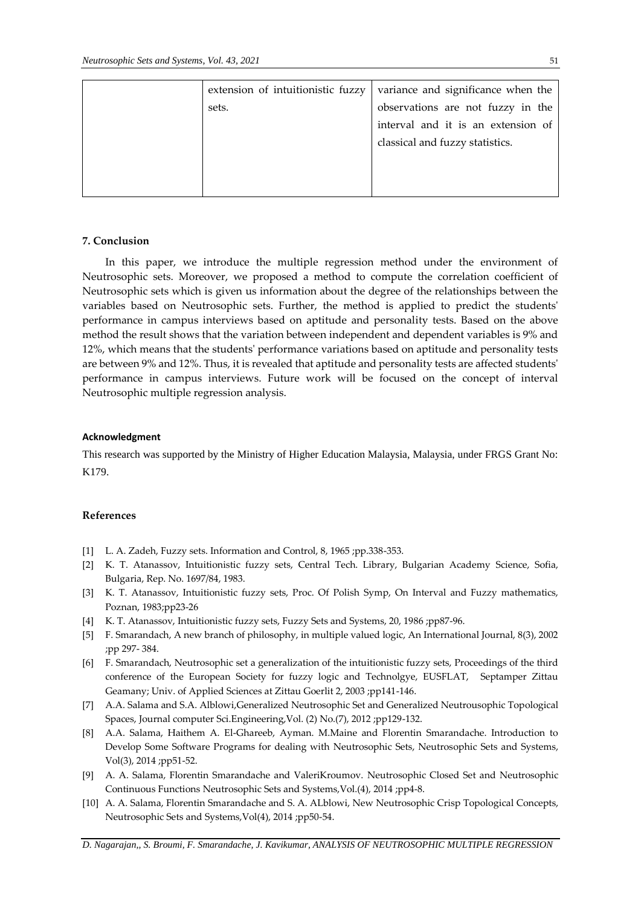| extension of intuitionistic fuzzy | variance and significance when the |
|-----------------------------------|------------------------------------|
| sets.                             | observations are not fuzzy in the  |
|                                   | interval and it is an extension of |
|                                   | classical and fuzzy statistics.    |
|                                   |                                    |
|                                   |                                    |
|                                   |                                    |

#### **7. Conclusion**

In this paper, we introduce the multiple regression method under the environment of Neutrosophic sets. Moreover, we proposed a method to compute the correlation coefficient of Neutrosophic sets which is given us information about the degree of the relationships between the variables based on Neutrosophic sets. Further, the method is applied to predict the students' performance in campus interviews based on aptitude and personality tests. Based on the above method the result shows that the variation between independent and dependent variables is 9% and 12%, which means that the students' performance variations based on aptitude and personality tests are between 9% and 12%. Thus, it is revealed that aptitude and personality tests are affected students' performance in campus interviews. Future work will be focused on the concept of interval Neutrosophic multiple regression analysis.

#### **Acknowledgment**

This research was supported by the Ministry of Higher Education Malaysia, Malaysia, under FRGS Grant No: K179.

## **References**

- [1] L. A. Zadeh, Fuzzy sets. Information and Control, 8, 1965 ;pp.338-353.
- [2] K. T. Atanassov, Intuitionistic fuzzy sets, Central Tech. Library, Bulgarian Academy Science, Sofia, Bulgaria, Rep. No. 1697/84, 1983.
- [3] K. T. Atanassov, Intuitionistic fuzzy sets, Proc. Of Polish Symp, On Interval and Fuzzy mathematics, Poznan, 1983;pp23-26
- [4] K. T. Atanassov, Intuitionistic fuzzy sets, Fuzzy Sets and Systems, 20, 1986 ;pp87-96.
- [5] F. Smarandach, A new branch of philosophy, in multiple valued logic, An International Journal, 8(3), 2002 ;pp 297- 384.
- [6] F. Smarandach, Neutrosophic set a generalization of the intuitionistic fuzzy sets, Proceedings of the third conference of the European Society for fuzzy logic and Technolgye, EUSFLAT, Septamper Zittau Geamany; Univ. of Applied Sciences at Zittau Goerlit 2, 2003 ;pp141-146.
- [7] A.A. Salama and S.A. Alblowi,Generalized Neutrosophic Set and Generalized Neutrousophic Topological Spaces, Journal computer Sci.Engineering,Vol. (2) No.(7), 2012 ;pp129-132.
- [8] A.A. Salama, Haithem A. El-Ghareeb, Ayman. M.Maine and Florentin Smarandache. Introduction to Develop Some Software Programs for dealing with Neutrosophic Sets, Neutrosophic Sets and Systems, Vol(3), 2014 ;pp51-52.
- [9] A. A. Salama, Florentin Smarandache and ValeriKroumov. Neutrosophic Closed Set and Neutrosophic Continuous Functions Neutrosophic Sets and Systems,Vol.(4), 2014 ;pp4-8.
- [10] A. A. Salama, Florentin Smarandache and S. A. ALblowi, New Neutrosophic Crisp Topological Concepts, Neutrosophic Sets and Systems,Vol(4), 2014 ;pp50-54.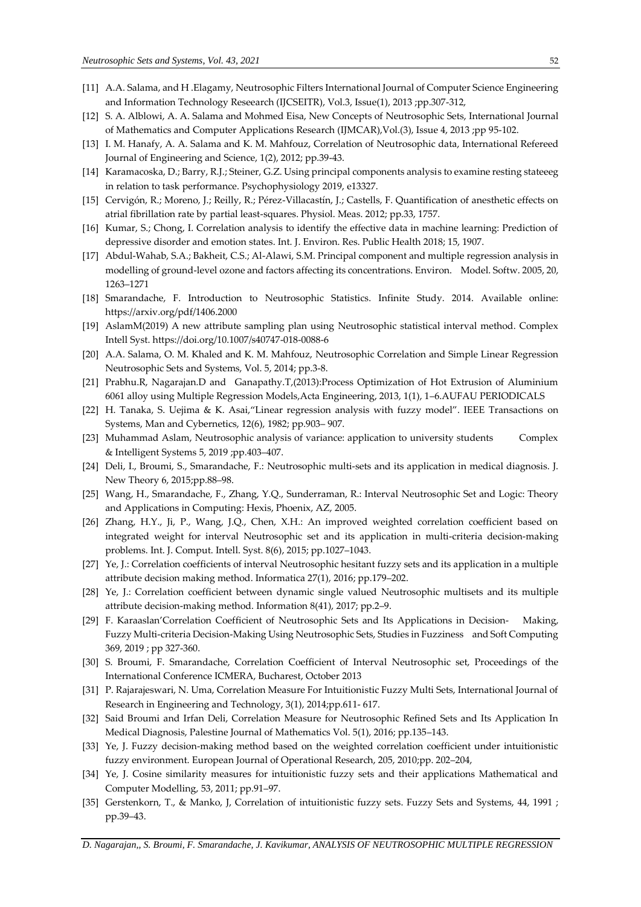- [11] A.A. Salama, and H .Elagamy, Neutrosophic Filters International Journal of Computer Science Engineering and Information Technology Reseearch (IJCSEITR), Vol.3, Issue(1), 2013 ;pp.307-312,
- [12] S. A. Alblowi, A. A. Salama and Mohmed Eisa, New Concepts of Neutrosophic Sets, International Journal of Mathematics and Computer Applications Research (IJMCAR),Vol.(3), Issue 4, 2013 ;pp 95-102.
- [13] I. M. Hanafy, A. A. Salama and K. M. Mahfouz, Correlation of Neutrosophic data, International Refereed Journal of Engineering and Science, 1(2), 2012; pp.39-43.
- [14] Karamacoska, D.; Barry, R.J.; Steiner, G.Z. Using principal components analysis to examine resting stateeeg in relation to task performance. Psychophysiology 2019, e13327.
- [15] Cervigón, R.; Moreno, J.; Reilly, R.; Pérez-Villacastín, J.; Castells, F. Quantification of anesthetic effects on atrial fibrillation rate by partial least-squares. Physiol. Meas. 2012; pp.33, 1757.
- [16] Kumar, S.; Chong, I. Correlation analysis to identify the effective data in machine learning: Prediction of depressive disorder and emotion states. Int. J. Environ. Res. Public Health 2018; 15, 1907.
- [17] Abdul-Wahab, S.A.; Bakheit, C.S.; Al-Alawi, S.M. Principal component and multiple regression analysis in modelling of ground-level ozone and factors affecting its concentrations. Environ. Model. Softw. 2005, 20, 1263–1271
- [18] Smarandache, F. Introduction to Neutrosophic Statistics. Infinite Study. 2014. Available online: https://arxiv.org/pdf/1406.2000
- [19] AslamM(2019) A new attribute sampling plan using Neutrosophic statistical interval method. Complex Intell Syst. https://doi.org/10.1007/s40747-018-0088-6
- [20] A.A. Salama, O. M. Khaled and K. M. Mahfouz, Neutrosophic Correlation and Simple Linear Regression Neutrosophic Sets and Systems, Vol. 5, 2014; pp.3-8.
- [21] Prabhu.R, Nagarajan.D and Ganapathy.T,(2013):Process Optimization of Hot Extrusion of Aluminium 6061 alloy using Multiple Regression Models,Acta Engineering, 2013, 1(1), 1–6.AUFAU PERIODICALS
- [22] H. Tanaka, S. Uejima & K. Asai,"Linear regression analysis with fuzzy model". IEEE Transactions on Systems, Man and Cybernetics, 12(6), 1982; pp.903– 907.
- [23] Muhammad Aslam, Neutrosophic analysis of variance: application to university students Complex & Intelligent Systems 5, 2019 ;pp.403–407.
- [24] Deli, I., Broumi, S., Smarandache, F.: Neutrosophic multi-sets and its application in medical diagnosis. J. New Theory 6, 2015;pp.88–98.
- [25] Wang, H., Smarandache, F., Zhang, Y.Q., Sunderraman, R.: Interval Neutrosophic Set and Logic: Theory and Applications in Computing: Hexis, Phoenix, AZ, 2005.
- [26] Zhang, H.Y., Ji, P., Wang, J.Q., Chen, X.H.: An improved weighted correlation coefficient based on integrated weight for interval Neutrosophic set and its application in multi-criteria decision-making problems. Int. J. Comput. Intell. Syst. 8(6), 2015; pp.1027–1043.
- [27] Ye, J.: Correlation coefficients of interval Neutrosophic hesitant fuzzy sets and its application in a multiple attribute decision making method. Informatica 27(1), 2016; pp.179–202.
- [28] Ye, J.: Correlation coefficient between dynamic single valued Neutrosophic multisets and its multiple attribute decision-making method. Information 8(41), 2017; pp.2–9.
- [29] F. Karaaslan'Correlation Coefficient of Neutrosophic Sets and Its Applications in Decision- Making, Fuzzy Multi-criteria Decision-Making Using Neutrosophic Sets, Studies in Fuzziness and Soft Computing 369, 2019 ; pp 327-360.
- [30] S. Broumi, F. Smarandache, Correlation Coefficient of Interval Neutrosophic set, Proceedings of the International Conference ICMERA, Bucharest, October 2013
- [31] P. Rajarajeswari, N. Uma, Correlation Measure For Intuitionistic Fuzzy Multi Sets, International Journal of Research in Engineering and Technology, 3(1), 2014;pp.611- 617.
- [32] Said Broumi and Irfan Deli, Correlation Measure for Neutrosophic Refined Sets and Its Application In Medical Diagnosis, Palestine Journal of Mathematics Vol. 5(1), 2016; pp.135–143.
- [33] Ye, J. Fuzzy decision-making method based on the weighted correlation coefficient under intuitionistic fuzzy environment. European Journal of Operational Research, 205, 2010;pp. 202–204,
- [34] Ye, J. Cosine similarity measures for intuitionistic fuzzy sets and their applications Mathematical and Computer Modelling, 53, 2011; pp.91–97.
- [35] Gerstenkorn, T., & Manko, J, Correlation of intuitionistic fuzzy sets. Fuzzy Sets and Systems, 44, 1991 ; pp.39–43.

*D. Nagarajan,, S. Broumi, F. Smarandache, J. Kavikumar, ANALYSIS OF NEUTROSOPHIC MULTIPLE REGRESSION*